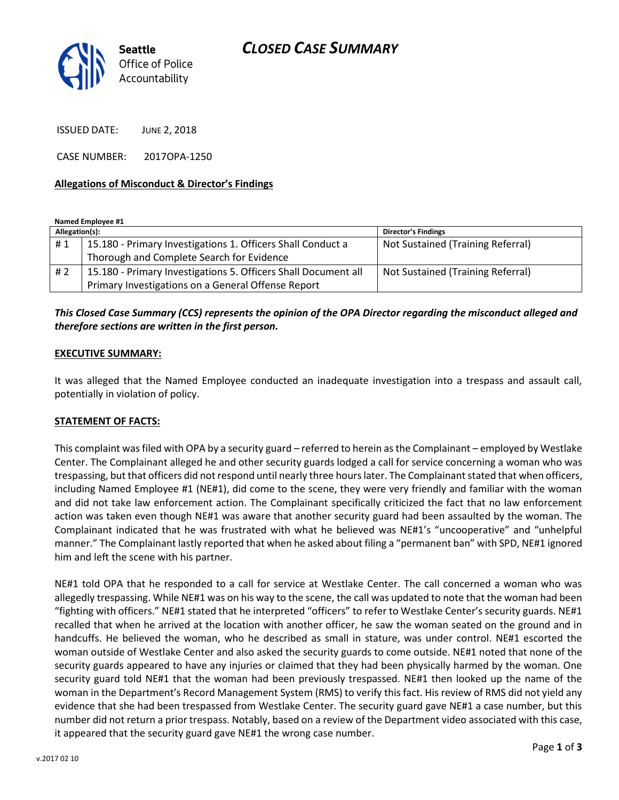

ISSUED DATE: JUNE 2, 2018

CASE NUMBER: 2017OPA-1250

#### **Allegations of Misconduct & Director's Findings**

**Named Employee #1**

| Allegation(s): |                                                                | <b>Director's Findings</b>        |
|----------------|----------------------------------------------------------------|-----------------------------------|
| #1             | 15.180 - Primary Investigations 1. Officers Shall Conduct a    | Not Sustained (Training Referral) |
|                | Thorough and Complete Search for Evidence                      |                                   |
| # 2            | 15.180 - Primary Investigations 5. Officers Shall Document all | Not Sustained (Training Referral) |
|                | Primary Investigations on a General Offense Report             |                                   |

# *This Closed Case Summary (CCS) represents the opinion of the OPA Director regarding the misconduct alleged and therefore sections are written in the first person.*

#### **EXECUTIVE SUMMARY:**

It was alleged that the Named Employee conducted an inadequate investigation into a trespass and assault call, potentially in violation of policy.

#### **STATEMENT OF FACTS:**

This complaint was filed with OPA by a security guard – referred to herein as the Complainant – employed by Westlake Center. The Complainant alleged he and other security guards lodged a call for service concerning a woman who was trespassing, but that officers did not respond until nearly three hours later. The Complainant stated that when officers, including Named Employee #1 (NE#1), did come to the scene, they were very friendly and familiar with the woman and did not take law enforcement action. The Complainant specifically criticized the fact that no law enforcement action was taken even though NE#1 was aware that another security guard had been assaulted by the woman. The Complainant indicated that he was frustrated with what he believed was NE#1's "uncooperative" and "unhelpful manner." The Complainant lastly reported that when he asked about filing a "permanent ban" with SPD, NE#1 ignored him and left the scene with his partner.

NE#1 told OPA that he responded to a call for service at Westlake Center. The call concerned a woman who was allegedly trespassing. While NE#1 was on his way to the scene, the call was updated to note that the woman had been "fighting with officers." NE#1 stated that he interpreted "officers" to refer to Westlake Center's security guards. NE#1 recalled that when he arrived at the location with another officer, he saw the woman seated on the ground and in handcuffs. He believed the woman, who he described as small in stature, was under control. NE#1 escorted the woman outside of Westlake Center and also asked the security guards to come outside. NE#1 noted that none of the security guards appeared to have any injuries or claimed that they had been physically harmed by the woman. One security guard told NE#1 that the woman had been previously trespassed. NE#1 then looked up the name of the woman in the Department's Record Management System (RMS) to verify this fact. His review of RMS did not yield any evidence that she had been trespassed from Westlake Center. The security guard gave NE#1 a case number, but this number did not return a prior trespass. Notably, based on a review of the Department video associated with this case, it appeared that the security guard gave NE#1 the wrong case number.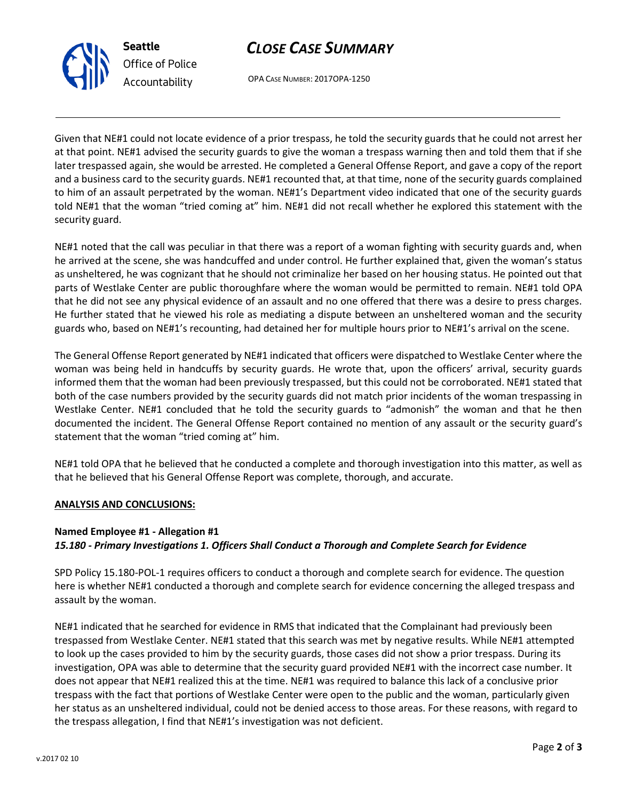



OPA CASE NUMBER: 2017OPA-1250

Given that NE#1 could not locate evidence of a prior trespass, he told the security guards that he could not arrest her at that point. NE#1 advised the security guards to give the woman a trespass warning then and told them that if she later trespassed again, she would be arrested. He completed a General Offense Report, and gave a copy of the report and a business card to the security guards. NE#1 recounted that, at that time, none of the security guards complained to him of an assault perpetrated by the woman. NE#1's Department video indicated that one of the security guards told NE#1 that the woman "tried coming at" him. NE#1 did not recall whether he explored this statement with the security guard.

NE#1 noted that the call was peculiar in that there was a report of a woman fighting with security guards and, when he arrived at the scene, she was handcuffed and under control. He further explained that, given the woman's status as unsheltered, he was cognizant that he should not criminalize her based on her housing status. He pointed out that parts of Westlake Center are public thoroughfare where the woman would be permitted to remain. NE#1 told OPA that he did not see any physical evidence of an assault and no one offered that there was a desire to press charges. He further stated that he viewed his role as mediating a dispute between an unsheltered woman and the security guards who, based on NE#1's recounting, had detained her for multiple hours prior to NE#1's arrival on the scene.

The General Offense Report generated by NE#1 indicated that officers were dispatched to Westlake Center where the woman was being held in handcuffs by security guards. He wrote that, upon the officers' arrival, security guards informed them that the woman had been previously trespassed, but this could not be corroborated. NE#1 stated that both of the case numbers provided by the security guards did not match prior incidents of the woman trespassing in Westlake Center. NE#1 concluded that he told the security guards to "admonish" the woman and that he then documented the incident. The General Offense Report contained no mention of any assault or the security guard's statement that the woman "tried coming at" him.

NE#1 told OPA that he believed that he conducted a complete and thorough investigation into this matter, as well as that he believed that his General Offense Report was complete, thorough, and accurate.

# **ANALYSIS AND CONCLUSIONS:**

# **Named Employee #1 - Allegation #1** *15.180 - Primary Investigations 1. Officers Shall Conduct a Thorough and Complete Search for Evidence*

SPD Policy 15.180-POL-1 requires officers to conduct a thorough and complete search for evidence. The question here is whether NE#1 conducted a thorough and complete search for evidence concerning the alleged trespass and assault by the woman.

NE#1 indicated that he searched for evidence in RMS that indicated that the Complainant had previously been trespassed from Westlake Center. NE#1 stated that this search was met by negative results. While NE#1 attempted to look up the cases provided to him by the security guards, those cases did not show a prior trespass. During its investigation, OPA was able to determine that the security guard provided NE#1 with the incorrect case number. It does not appear that NE#1 realized this at the time. NE#1 was required to balance this lack of a conclusive prior trespass with the fact that portions of Westlake Center were open to the public and the woman, particularly given her status as an unsheltered individual, could not be denied access to those areas. For these reasons, with regard to the trespass allegation, I find that NE#1's investigation was not deficient.